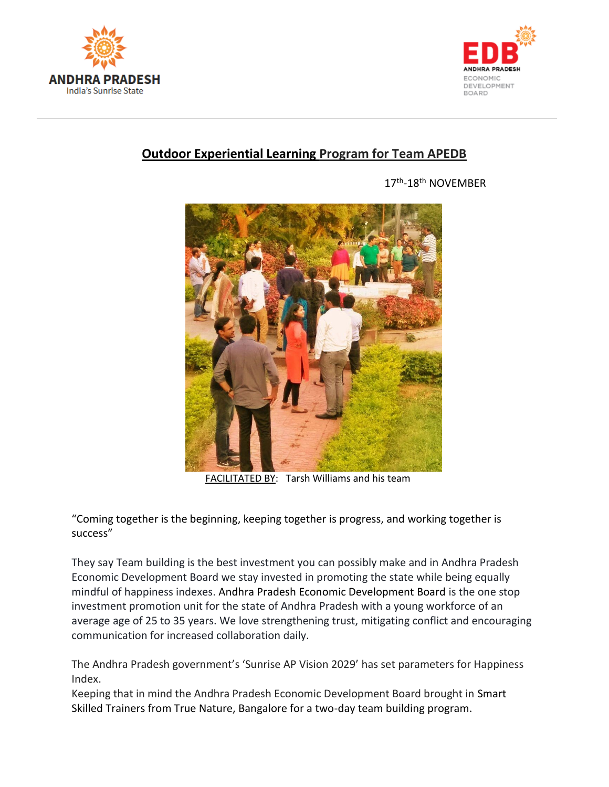



## **Outdoor Experiential Learning Program for Team APEDB**

 $17<sup>th</sup>$ 17th-18th NOVEMBER



FACILITATED BY: Tarsh Williams and his team

"Coming together is the beginning, keeping together is progress, and working together is success"

They say Team building is the best investment you can possibly make and in Andhra Pradesh Economic Development Board we stay invested in promoting the state while being equally mindful of happiness indexes. [Andhra Pradesh Economic Development Board](https://www.facebook.com/AndhraPradeshEDB/?fref=mentions) is the one stop investment promotion unit for the state of Andhra Pradesh with a young workforce of an average age of 25 to 35 years. We love strengthening trust, mitigating conflict and encouraging communication for increased collaboration daily.

The Andhra Pradesh government's 'Sunrise AP Vision 2029' has set parameters for Happiness Index.

Keeping that in mind the Andhra Pradesh Economic Development Board brought in Smart Skilled Trainers from True Nature, Bangalore for a two-day team building program.